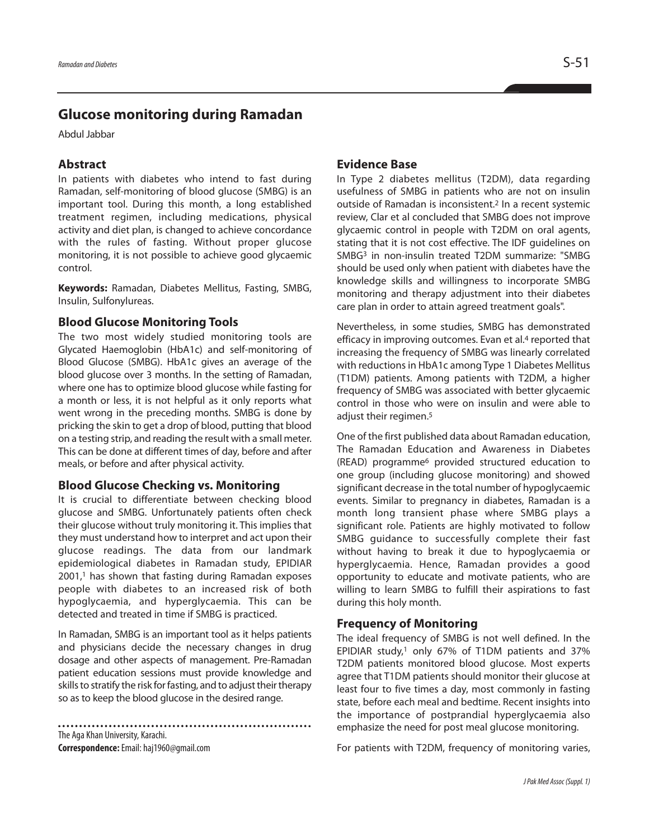# **Glucose monitoring during Ramadan**

Abdul Jabbar

## **Abstract**

In patients with diabetes who intend to fast during Ramadan, self-monitoring of blood glucose (SMBG) is an important tool. During this month, a long established treatment regimen, including medications, physical activity and diet plan, is changed to achieve concordance with the rules of fasting. Without proper glucose monitoring, it is not possible to achieve good glycaemic control.

**Keywords:** Ramadan, Diabetes Mellitus, Fasting, SMBG, Insulin, Sulfonylureas.

#### **Blood Glucose Monitoring Tools**

The two most widely studied monitoring tools are Glycated Haemoglobin (HbA1c) and self-monitoring of Blood Glucose (SMBG). HbA1c gives an average of the blood glucose over 3 months. In the setting of Ramadan, where one has to optimize blood glucose while fasting for a month or less, it is not helpful as it only reports what went wrong in the preceding months. SMBG is done by pricking the skin to get a drop of blood, putting that blood on a testing strip, and reading the result with a small meter. This can be done at different times of day, before and after meals, or before and after physical activity.

#### **Blood Glucose Checking vs. Monitoring**

It is crucial to differentiate between checking blood glucose and SMBG. Unfortunately patients often check their glucose without truly monitoring it. This implies that they must understand how to interpret and act upon their glucose readings. The data from our landmark epidemiological diabetes in Ramadan study, EPIDIAR 2001, <sup>1</sup> has shown that fasting during Ramadan exposes people with diabetes to an increased risk of both hypoglycaemia, and hyperglycaemia. This can be detected and treated in time if SMBG is practiced.

In Ramadan, SMBG is an important tool as it helps patients and physicians decide the necessary changes in drug dosage and other aspects of management. Pre-Ramadan patient education sessions must provide knowledge and skills to stratify the risk for fasting, and to adjust their therapy so as to keep the blood glucose in the desired range.

The Aga Khan University, Karachi. **Correspondence:**Email: haj1960@gmail.com

#### **Evidence Base**

In Type 2 diabetes mellitus (T2DM), data regarding usefulness of SMBG in patients who are not on insulin outside of Ramadan is inconsistent. <sup>2</sup> In a recent systemic review, Clar et al concluded that SMBG does not improve glycaemic control in people with T2DM on oral agents, stating that it is not cost effective. The IDF guidelines on SMBG3 in non-insulin treated T2DM summarize: "SMBG should be used only when patient with diabetes have the knowledge skills and willingness to incorporate SMBG monitoring and therapy adjustment into their diabetes care plan in order to attain agreed treatment goals".

Nevertheless, in some studies, SMBG has demonstrated efficacy in improving outcomes. Evan et al. <sup>4</sup> reported that increasing the frequency of SMBG was linearly correlated with reductions in HbA1c among Type 1 Diabetes Mellitus (T1DM) patients. Among patients with T2DM, a higher frequency of SMBG was associated with better glycaemic control in those who were on insulin and were able to adjust their regimen. 5

One of the first published data about Ramadan education, The Ramadan Education and Awareness in Diabetes (READ) programme6 provided structured education to one group (including glucose monitoring) and showed significant decrease in the total number of hypoglycaemic events. Similar to pregnancy in diabetes, Ramadan is a month long transient phase where SMBG plays a significant role. Patients are highly motivated to follow SMBG guidance to successfully complete their fast without having to break it due to hypoglycaemia or hyperglycaemia. Hence, Ramadan provides a good opportunity to educate and motivate patients, who are willing to learn SMBG to fulfill their aspirations to fast during this holy month.

#### **Frequency of Monitoring**

The ideal frequency of SMBG is not well defined. In the EPIDIAR study, <sup>1</sup> only 67% of T1DM patients and 37% T2DM patients monitored blood glucose. Most experts agree that T1DM patients should monitor their glucose at least four to five times a day, most commonly in fasting state, before each meal and bedtime. Recent insights into the importance of postprandial hyperglycaemia also emphasize the need for post meal glucose monitoring.

For patients with T2DM, frequency of monitoring varies,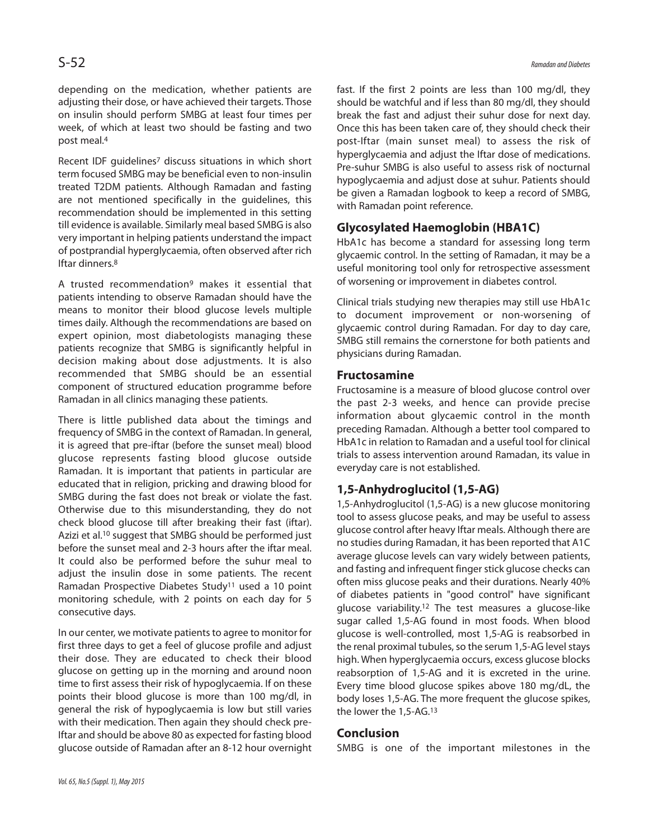depending on the medication, whether patients are adjusting their dose, or have achieved their targets. Those on insulin should perform SMBG at least four times per week, of which at least two should be fasting and two post meal. 4

Recent IDF guidelines<sup>7</sup> discuss situations in which short term focused SMBG may be beneficial even to non-insulin treated T2DM patients. Although Ramadan and fasting are not mentioned specifically in the guidelines, this recommendation should be implemented in this setting till evidence is available. Similarly meal based SMBG is also very important in helping patients understand the impact of postprandial hyperglycaemia, often observed after rich Iftar dinners. 8

A trusted recommendation9 makes it essential that patients intending to observe Ramadan should have the means to monitor their blood glucose levels multiple times daily. Although the recommendations are based on expert opinion, most diabetologists managing these patients recognize that SMBG is significantly helpful in decision making about dose adjustments. It is also recommended that SMBG should be an essential component of structured education programme before Ramadan in all clinics managing these patients.

There is little published data about the timings and frequency of SMBG in the context of Ramadan. In general, it is agreed that pre-iftar (before the sunset meal) blood glucose represents fasting blood glucose outside Ramadan. It is important that patients in particular are educated that in religion, pricking and drawing blood for SMBG during the fast does not break or violate the fast. Otherwise due to this misunderstanding, they do not check blood glucose till after breaking their fast (iftar). Azizi et al. <sup>10</sup> suggest that SMBG should be performed just before the sunset meal and 2-3 hours after the iftar meal. It could also be performed before the suhur meal to adjust the insulin dose in some patients. The recent Ramadan Prospective Diabetes Study11 used a 10 point monitoring schedule, with 2 points on each day for 5 consecutive days.

In our center, we motivate patients to agree to monitor for first three days to get a feel of glucose profile and adjust their dose. They are educated to check their blood glucose on getting up in the morning and around noon time to first assess their risk of hypoglycaemia. If on these points their blood glucose is more than 100 mg/dl, in general the risk of hypoglycaemia is low but still varies with their medication. Then again they should check pre-Iftar and should be above 80 as expected for fasting blood glucose outside of Ramadan after an 8-12 hour overnight fast. If the first 2 points are less than 100 mg/dl, they should be watchful and if less than 80 mg/dl, they should break the fast and adjust their suhur dose for next day. Once this has been taken care of, they should check their post-Iftar (main sunset meal) to assess the risk of hyperglycaemia and adjust the Iftar dose of medications. Pre-suhur SMBG is also useful to assess risk of nocturnal hypoglycaemia and adjust dose at suhur. Patients should be given a Ramadan logbook to keep a record of SMBG, with Ramadan point reference.

### **Glycosylated Haemoglobin (HBA1C)**

HbA1c has become a standard for assessing long term glycaemic control. In the setting of Ramadan, it may be a useful monitoring tool only for retrospective assessment of worsening or improvement in diabetes control.

Clinical trials studying new therapies may still use HbA1c to document improvement or non-worsening of glycaemic control during Ramadan. For day to day care, SMBG still remains the cornerstone for both patients and physicians during Ramadan.

#### **Fructosamine**

Fructosamine is a measure of blood glucose control over the past 2-3 weeks, and hence can provide precise information about glycaemic control in the month preceding Ramadan. Although a better tool compared to HbA1c in relation to Ramadan and a useful tool for clinical trials to assess intervention around Ramadan, its value in everyday care is not established.

## **1,5-Anhydroglucitol (1,5-AG)**

1,5-Anhydroglucitol (1,5-AG) is a new glucose monitoring tool to assess glucose peaks, and may be useful to assess glucose control after heavy Iftar meals. Although there are no studies during Ramadan, it has been reported that A1C average glucose levels can vary widely between patients, and fasting and infrequent finger stick glucose checks can often miss glucose peaks and their durations. Nearly 40% of diabetes patients in "good control" have significant glucose variability. <sup>12</sup> The test measures a glucose-like sugar called 1,5-AG found in most foods. When blood glucose is well-controlled, most 1,5-AG is reabsorbed in the renal proximal tubules, so the serum 1,5-AG level stays high. When hyperglycaemia occurs, excess glucose blocks reabsorption of 1,5-AG and it is excreted in the urine. Every time blood glucose spikes above 180 mg/dL, the body loses 1,5-AG. The more frequent the glucose spikes, the lower the 1,5-AG. 13

### **Conclusion**

SMBG is one of the important milestones in the